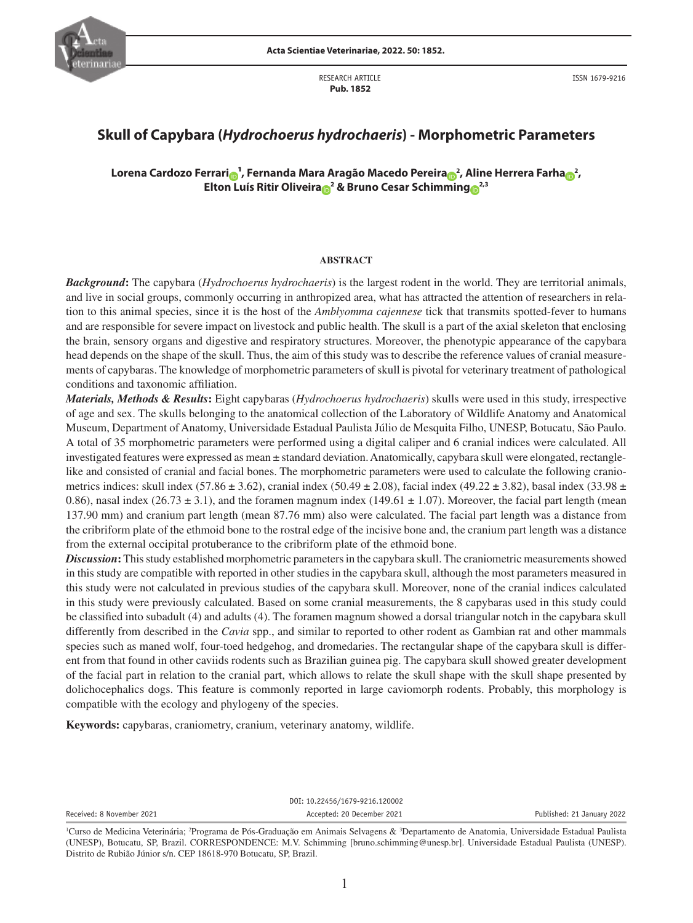

RESEARCH ARTICLE  **Pub. 1852**

ISSN 1679-9216

# **Skull of Capybara (***Hydrochoerus hydrochaeris***) - Morphometric Parameters**

**Lorena Cardozo Ferrari [¹](http://orcid.org/0000-0003-1477-865X), Fernanda Mara Aragão Macedo Pereira <sup>2</sup> , Aline Herrera Farh[a](http://orcid.org/0000-0001-6340-7690) <sup>2</sup> , Elton Luís Ritir Oliveir[a](http://orcid.org/0000-0003-2891-1343) <sup>2</sup> & Bruno Cesar Schim[min](http://orcid.org/0000-0003-3718-5451)[g](http://orcid.org/0000-0002-0837-9612) 2,3**

### **ABSTRACT**

*Background***:** The capybara (*Hydrochoerus hydrochaeris*) is the largest rodent in the world. They are territorial animals, and live in social groups, commonly occurring in anthropized area, what has attracted the attention of researchers in relation to this animal species, since it is the host of the *Amblyomma cajennese* tick that transmits spotted-fever to humans and are responsible for severe impact on livestock and public health. The skull is a part of the axial skeleton that enclosing the brain, sensory organs and digestive and respiratory structures. Moreover, the phenotypic appearance of the capybara head depends on the shape of the skull. Thus, the aim of this study was to describe the reference values of cranial measurements of capybaras. The knowledge of morphometric parameters of skull is pivotal for veterinary treatment of pathological conditions and taxonomic affiliation.

*Materials, Methods & Results***:** Eight capybaras (*Hydrochoerus hydrochaeris*) skulls were used in this study, irrespective of age and sex. The skulls belonging to the anatomical collection of the Laboratory of Wildlife Anatomy and Anatomical Museum, Department of Anatomy, Universidade Estadual Paulista Júlio de Mesquita Filho, UNESP, Botucatu, São Paulo. A total of 35 morphometric parameters were performed using a digital caliper and 6 cranial indices were calculated. All investigated features were expressed as mean ± standard deviation. Anatomically, capybara skull were elongated, rectanglelike and consisted of cranial and facial bones. The morphometric parameters were used to calculate the following craniometrics indices: skull index (57.86  $\pm$  3.62), cranial index (50.49  $\pm$  2.08), facial index (49.22  $\pm$  3.82), basal index (33.98  $\pm$ 0.86), nasal index (26.73  $\pm$  3.1), and the foramen magnum index (149.61  $\pm$  1.07). Moreover, the facial part length (mean 137.90 mm) and cranium part length (mean 87.76 mm) also were calculated. The facial part length was a distance from the cribriform plate of the ethmoid bone to the rostral edge of the incisive bone and, the cranium part length was a distance from the external occipital protuberance to the cribriform plate of the ethmoid bone.

*Discussion*: This study established morphometric parameters in the capybara skull. The craniometric measurements showed in this study are compatible with reported in other studies in the capybara skull, although the most parameters measured in this study were not calculated in previous studies of the capybara skull. Moreover, none of the cranial indices calculated in this study were previously calculated. Based on some cranial measurements, the 8 capybaras used in this study could be classified into subadult (4) and adults (4). The foramen magnum showed a dorsal triangular notch in the capybara skull differently from described in the *Cavia* spp., and similar to reported to other rodent as Gambian rat and other mammals species such as maned wolf, four-toed hedgehog, and dromedaries. The rectangular shape of the capybara skull is different from that found in other caviids rodents such as Brazilian guinea pig. The capybara skull showed greater development of the facial part in relation to the cranial part, which allows to relate the skull shape with the skull shape presented by dolichocephalics dogs. This feature is commonly reported in large caviomorph rodents. Probably, this morphology is compatible with the ecology and phylogeny of the species.

**Keywords:** capybaras, craniometry, cranium, veterinary anatomy, wildlife.

DOI: 10.22456/1679-9216.120002 Received: 8 November 2021 **Accepted: 20 December 2021** Published: 21 January 2022

<sup>&</sup>lt;sup>1</sup>Curso de Medicina Veterinária; <sup>2</sup>Programa de Pós-Graduação em Animais Selvagens & <sup>3</sup>Departamento de Anatomia, Universidade Estadual Paulista (UNESP), Botucatu, SP, Brazil. CORRESPONDENCE: M.V. Schimming [bruno.schimming@unesp.br]. Universidade Estadual Paulista (UNESP). Distrito de Rubião Júnior s/n. CEP 18618-970 Botucatu, SP, Brazil.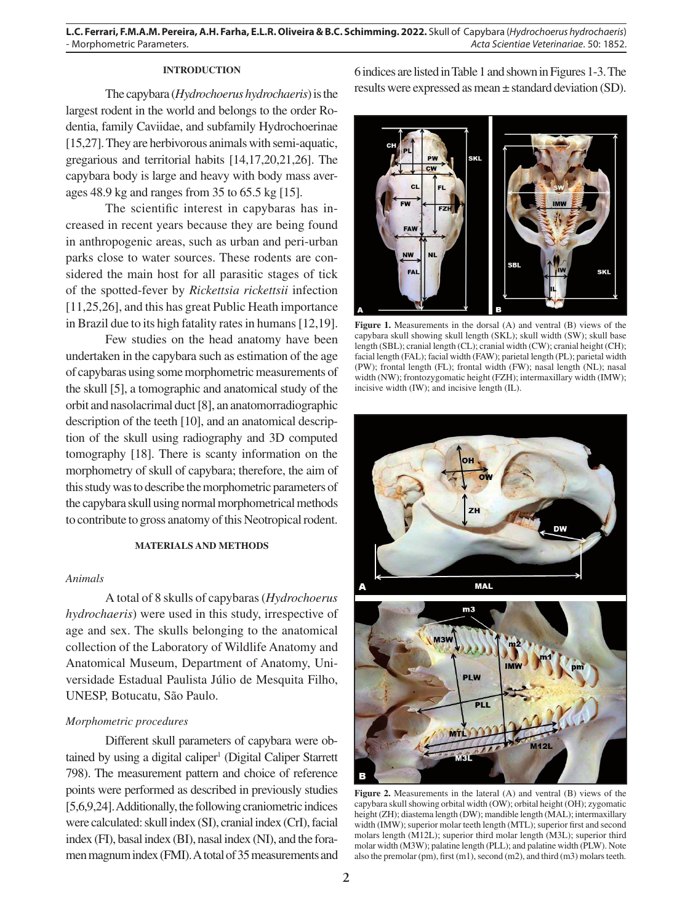**L.C. Ferrari, F.M.A.M. Pereira, A.H. Farha, E.L.R. Oliveira & B.C. Schimming. 2022.** Skull of Capybara (*Hydrochoerus hydrochaeris*) - Morphometric Parameters. *Acta Scientiae Veterinariae*. 50: 1852.

# **INTRODUCTION**

The capybara (*Hydrochoerus hydrochaeris*) is the largest rodent in the world and belongs to the order Rodentia, family Caviidae, and subfamily Hydrochoerinae [15,27]. They are herbivorous animals with semi-aquatic, gregarious and territorial habits [14,17,20,21,26]. The capybara body is large and heavy with body mass averages 48.9 kg and ranges from 35 to 65.5 kg [15].

The scientific interest in capybaras has increased in recent years because they are being found in anthropogenic areas, such as urban and peri-urban parks close to water sources. These rodents are considered the main host for all parasitic stages of tick of the spotted-fever by *Rickettsia rickettsii* infection [11,25,26], and this has great Public Heath importance in Brazil due to its high fatality rates in humans [12,19].

Few studies on the head anatomy have been undertaken in the capybara such as estimation of the age of capybaras using some morphometric measurements of the skull [5], a tomographic and anatomical study of the orbit and nasolacrimal duct [8], an anatomorradiographic description of the teeth [10], and an anatomical description of the skull using radiography and 3D computed tomography [18]. There is scanty information on the morphometry of skull of capybara; therefore, the aim of this study was to describe the morphometric parameters of the capybara skull using normal morphometrical methods to contribute to gross anatomy of this Neotropical rodent.

#### **MATERIALS AND METHODS**

#### *Animals*

A total of 8 skulls of capybaras (*Hydrochoerus hydrochaeris*) were used in this study, irrespective of age and sex. The skulls belonging to the anatomical collection of the Laboratory of Wildlife Anatomy and Anatomical Museum, Department of Anatomy, Universidade Estadual Paulista Júlio de Mesquita Filho, UNESP, Botucatu, São Paulo.

## *Morphometric procedures*

Different skull parameters of capybara were obtained by using a digital caliper<sup>1</sup> (Digital Caliper Starrett 798). The measurement pattern and choice of reference points were performed as described in previously studies [5,6,9,24]. Additionally, the following craniometric indices were calculated: skull index (SI), cranial index (CrI), facial index (FI), basal index (BI), nasal index (NI), and the foramen magnum index (FMI). A total of 35 measurements and 6 indices are listed in Table 1 and shown in Figures 1-3. The results were expressed as mean ± standard deviation (SD).



**Figure 1.** Measurements in the dorsal (A) and ventral (B) views of the capybara skull showing skull length (SKL); skull width (SW); skull base length (SBL); cranial length (CL); cranial width (CW); cranial height (CH); facial length (FAL); facial width (FAW); parietal length (PL); parietal width (PW); frontal length (FL); frontal width (FW); nasal length (NL); nasal width (NW); frontozygomatic height (FZH); intermaxillary width (IMW); incisive width (IW); and incisive length (IL).



**Figure 2.** Measurements in the lateral (A) and ventral (B) views of the capybara skull showing orbital width (OW); orbital height (OH); zygomatic height (ZH); diastema length (DW); mandible length (MAL); intermaxillary width (IMW); superior molar teeth length (MTL); superior first and second molars length (M12L); superior third molar length (M3L); superior third molar width (M3W); palatine length (PLL); and palatine width (PLW). Note also the premolar (pm), first (m1), second (m2), and third (m3) molars teeth.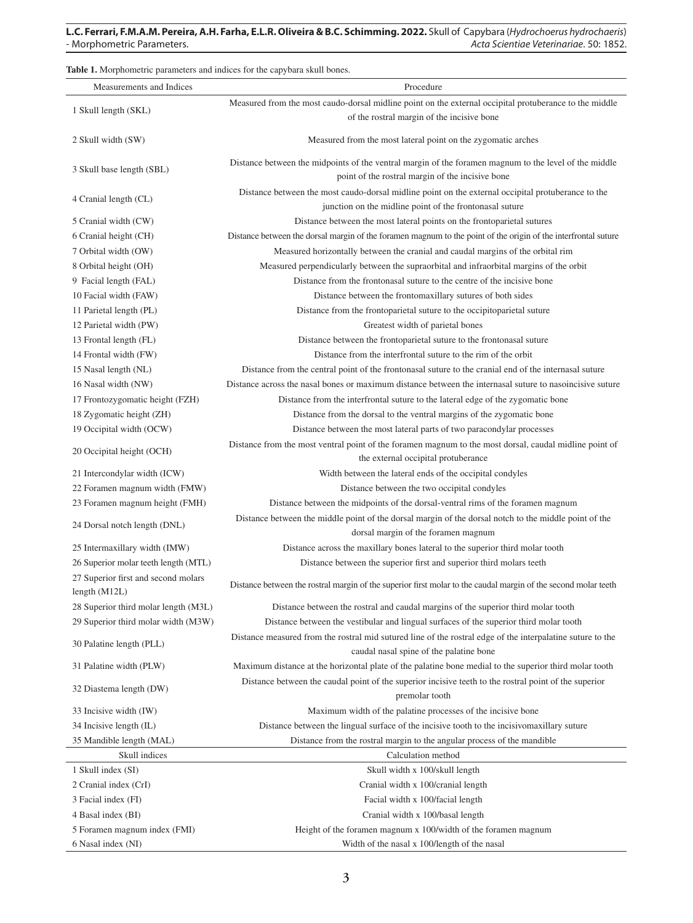**Table 1.** Morphometric parameters and indices for the capybara skull bones.

| Measurements and Indices                                    | Procedure                                                                                                                                                     |  |
|-------------------------------------------------------------|---------------------------------------------------------------------------------------------------------------------------------------------------------------|--|
|                                                             | Measured from the most caudo-dorsal midline point on the external occipital protuberance to the middle                                                        |  |
| 1 Skull length (SKL)                                        | of the rostral margin of the incisive bone                                                                                                                    |  |
| 2 Skull width (SW)                                          | Measured from the most lateral point on the zygomatic arches                                                                                                  |  |
| 3 Skull base length (SBL)                                   | Distance between the midpoints of the ventral margin of the foramen magnum to the level of the middle<br>point of the rostral margin of the incisive bone     |  |
| 4 Cranial length (CL)                                       | Distance between the most caudo-dorsal midline point on the external occipital protuberance to the<br>junction on the midline point of the frontonasal suture |  |
| 5 Cranial width (CW)                                        | Distance between the most lateral points on the frontoparietal sutures                                                                                        |  |
| 6 Cranial height (CH)                                       | Distance between the dorsal margin of the foramen magnum to the point of the origin of the interfrontal suture                                                |  |
| 7 Orbital width (OW)                                        | Measured horizontally between the cranial and caudal margins of the orbital rim                                                                               |  |
| 8 Orbital height (OH)                                       | Measured perpendicularly between the supraorbital and infraorbital margins of the orbit                                                                       |  |
| 9 Facial length (FAL)                                       | Distance from the frontonasal suture to the centre of the incisive bone                                                                                       |  |
| 10 Facial width (FAW)                                       | Distance between the frontomaxillary sutures of both sides                                                                                                    |  |
| 11 Parietal length (PL)                                     | Distance from the frontoparietal suture to the occipitoparietal suture                                                                                        |  |
| 12 Parietal width (PW)                                      | Greatest width of parietal bones                                                                                                                              |  |
| 13 Frontal length (FL)                                      | Distance between the frontoparietal suture to the frontonasal suture                                                                                          |  |
| 14 Frontal width (FW)                                       | Distance from the interfrontal suture to the rim of the orbit                                                                                                 |  |
| 15 Nasal length (NL)                                        | Distance from the central point of the frontonasal suture to the cranial end of the internasal suture                                                         |  |
|                                                             | Distance across the nasal bones or maximum distance between the internasal suture to nasoincisive suture                                                      |  |
| 16 Nasal width (NW)                                         |                                                                                                                                                               |  |
| 17 Frontozygomatic height (FZH)<br>18 Zygomatic height (ZH) | Distance from the interfrontal suture to the lateral edge of the zygomatic bone                                                                               |  |
| 19 Occipital width (OCW)                                    | Distance from the dorsal to the ventral margins of the zygomatic bone<br>Distance between the most lateral parts of two paracondylar processes                |  |
|                                                             |                                                                                                                                                               |  |
| 20 Occipital height (OCH)                                   | Distance from the most ventral point of the foramen magnum to the most dorsal, caudal midline point of<br>the external occipital protuberance                 |  |
| 21 Intercondylar width (ICW)                                | Width between the lateral ends of the occipital condyles                                                                                                      |  |
| 22 Foramen magnum width (FMW)                               | Distance between the two occipital condyles                                                                                                                   |  |
| 23 Foramen magnum height (FMH)                              | Distance between the midpoints of the dorsal-ventral rims of the foramen magnum                                                                               |  |
| 24 Dorsal notch length (DNL)                                | Distance between the middle point of the dorsal margin of the dorsal notch to the middle point of the<br>dorsal margin of the foramen magnum                  |  |
| 25 Intermaxillary width (IMW)                               | Distance across the maxillary bones lateral to the superior third molar tooth                                                                                 |  |
| 26 Superior molar teeth length (MTL)                        | Distance between the superior first and superior third molars teeth                                                                                           |  |
| 27 Superior first and second molars<br>length $(M12L)$      | Distance between the rostral margin of the superior first molar to the caudal margin of the second molar teeth                                                |  |
| 28 Superior third molar length (M3L)                        | Distance between the rostral and caudal margins of the superior third molar tooth                                                                             |  |
| 29 Superior third molar width (M3W)                         | Distance between the vestibular and lingual surfaces of the superior third molar tooth                                                                        |  |
|                                                             | Distance measured from the rostral mid sutured line of the rostral edge of the interpalatine suture to the                                                    |  |
| 30 Palatine length (PLL)                                    | caudal nasal spine of the palatine bone                                                                                                                       |  |
| 31 Palatine width (PLW)                                     | Maximum distance at the horizontal plate of the palatine bone medial to the superior third molar tooth                                                        |  |
| 32 Diastema length (DW)                                     | Distance between the caudal point of the superior incisive teeth to the rostral point of the superior<br>premolar tooth                                       |  |
| 33 Incisive width (IW)                                      | Maximum width of the palatine processes of the incisive bone                                                                                                  |  |
| 34 Incisive length (IL)                                     | Distance between the lingual surface of the incisive tooth to the incisivo maxillary suture                                                                   |  |
| 35 Mandible length (MAL)                                    | Distance from the rostral margin to the angular process of the mandible                                                                                       |  |
| Skull indices                                               | Calculation method                                                                                                                                            |  |
| 1 Skull index (SI)                                          | Skull width x 100/skull length                                                                                                                                |  |
| 2 Cranial index (CrI)                                       | Cranial width x 100/cranial length                                                                                                                            |  |
| 3 Facial index (FI)                                         | Facial width x 100/facial length                                                                                                                              |  |
| 4 Basal index (BI)                                          | Cranial width x 100/basal length                                                                                                                              |  |
| 5 Foramen magnum index (FMI)                                | Height of the foramen magnum x 100/width of the foramen magnum                                                                                                |  |
| 6 Nasal index (NI)                                          | Width of the nasal x 100/length of the nasal                                                                                                                  |  |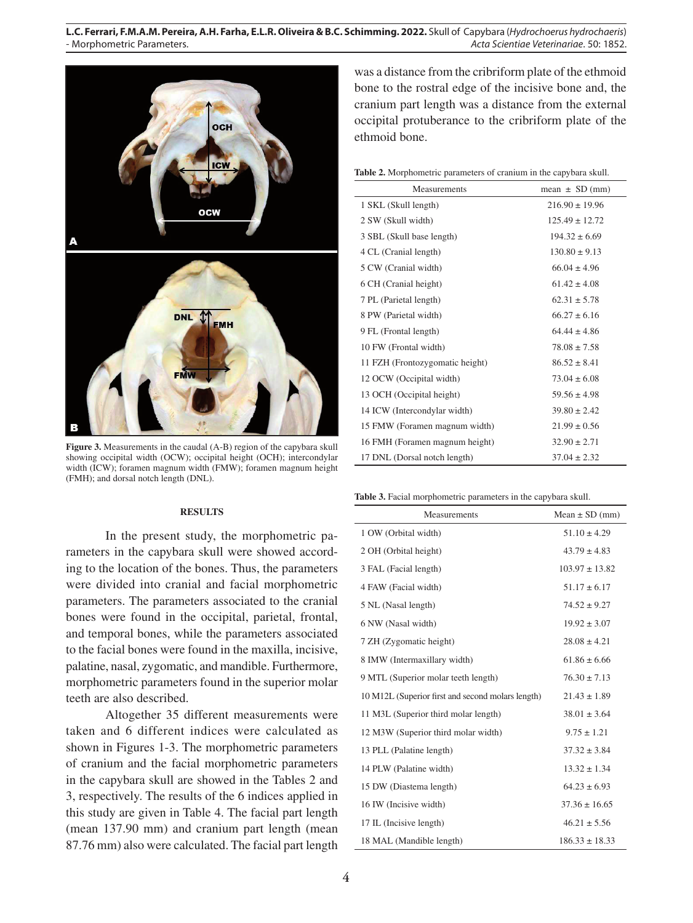

Figure 3. Measurements in the caudal (A-B) region of the capybara skull showing occipital width (OCW); occipital height (OCH); intercondylar width (ICW); foramen magnum width (FMW); foramen magnum height (FMH); and dorsal notch length (DNL).

#### **RESULTS**

In the present study, the morphometric parameters in the capybara skull were showed according to the location of the bones. Thus, the parameters were divided into cranial and facial morphometric parameters. The parameters associated to the cranial bones were found in the occipital, parietal, frontal, and temporal bones, while the parameters associated to the facial bones were found in the maxilla, incisive, palatine, nasal, zygomatic, and mandible. Furthermore, morphometric parameters found in the superior molar teeth are also described.

Altogether 35 different measurements were taken and 6 different indices were calculated as shown in Figures 1-3. The morphometric parameters of cranium and the facial morphometric parameters in the capybara skull are showed in the Tables 2 and 3, respectively. The results of the 6 indices applied in this study are given in Table 4. The facial part length (mean 137.90 mm) and cranium part length (mean 87.76 mm) also were calculated. The facial part length

was a distance from the cribriform plate of the ethmoid bone to the rostral edge of the incisive bone and, the cranium part length was a distance from the external occipital protuberance to the cribriform plate of the ethmoid bone.

| Measurements                    | mean $\pm$ SD (mm) |
|---------------------------------|--------------------|
| 1 SKL (Skull length)            | $216.90 \pm 19.96$ |
| 2 SW (Skull width)              | $125.49 \pm 12.72$ |
| 3 SBL (Skull base length)       | $194.32 \pm 6.69$  |
| 4 CL (Cranial length)           | $130.80 \pm 9.13$  |
| 5 CW (Cranial width)            | $66.04 \pm 4.96$   |
| 6 CH (Cranial height)           | $61.42 \pm 4.08$   |
| 7 PL (Parietal length)          | $62.31 \pm 5.78$   |
| 8 PW (Parietal width)           | $66.27 \pm 6.16$   |
| 9 FL (Frontal length)           | $64.44 \pm 4.86$   |
| 10 FW (Frontal width)           | $78.08 \pm 7.58$   |
| 11 FZH (Frontozygomatic height) | $86.52 \pm 8.41$   |
| 12 OCW (Occipital width)        | $73.04 \pm 6.08$   |
| 13 OCH (Occipital height)       | $59.56 \pm 4.98$   |
| 14 ICW (Intercondylar width)    | $39.80 \pm 2.42$   |
| 15 FMW (Foramen magnum width)   | $21.99 \pm 0.56$   |
| 16 FMH (Foramen magnum height)  | $32.90 \pm 2.71$   |
| 17 DNL (Dorsal notch length)    | $37.04 \pm 2.32$   |
|                                 |                    |

**Table 3.** Facial morphometric parameters in the capybara skull.

| Measurements                                      | Mean $\pm$ SD (mm) |
|---------------------------------------------------|--------------------|
| 1 OW (Orbital width)                              | $51.10 \pm 4.29$   |
| 2 OH (Orbital height)                             | $43.79 \pm 4.83$   |
| 3 FAL (Facial length)                             | $103.97 \pm 13.82$ |
| 4 FAW (Facial width)                              | $51.17 \pm 6.17$   |
| 5 NL (Nasal length)                               | $74.52 \pm 9.27$   |
| 6 NW (Nasal width)                                | $19.92 \pm 3.07$   |
| 7 ZH (Zygomatic height)                           | $28.08 \pm 4.21$   |
| 8 IMW (Intermaxillary width)                      | $61.86 \pm 6.66$   |
| 9 MTL (Superior molar teeth length)               | $76.30 \pm 7.13$   |
| 10 M12L (Superior first and second molars length) | $21.43 \pm 1.89$   |
| 11 M3L (Superior third molar length)              | $38.01 \pm 3.64$   |
| 12 M3W (Superior third molar width)               | $9.75 \pm 1.21$    |
| 13 PLL (Palatine length)                          | $37.32 \pm 3.84$   |
| 14 PLW (Palatine width)                           | $13.32 \pm 1.34$   |
| 15 DW (Diastema length)                           | $64.23 \pm 6.93$   |
| 16 IW (Incisive width)                            | $37.36 \pm 16.65$  |
| 17 IL (Incisive length)                           | $46.21 \pm 5.56$   |
| 18 MAL (Mandible length)                          | $186.33 \pm 18.33$ |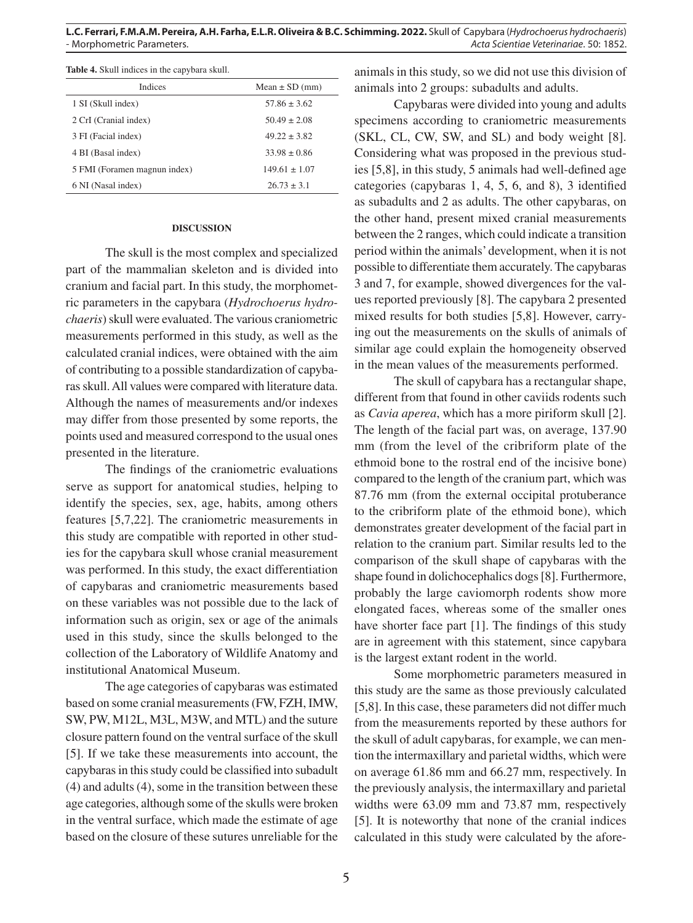**L.C. Ferrari, F.M.A.M. Pereira, A.H. Farha, E.L.R. Oliveira & B.C. Schimming. 2022.** Skull of Capybara (*Hydrochoerus hydrochaeris*) - Morphometric Parameters. *Acta Scientiae Veterinariae*. 50: 1852.

|  |  | <b>Table 4.</b> Skull indices in the capybara skull. |
|--|--|------------------------------------------------------|
|--|--|------------------------------------------------------|

| Indices                      | Mean $\pm$ SD (mm) |
|------------------------------|--------------------|
| 1 SI (Skull index)           | $57.86 \pm 3.62$   |
| 2 CrI (Cranial index)        | $50.49 \pm 2.08$   |
| 3 FI (Facial index)          | $49.22 \pm 3.82$   |
| 4 BI (Basal index)           | $33.98 \pm 0.86$   |
| 5 FMI (Foramen magnun index) | $149.61 \pm 1.07$  |
| 6 NI (Nasal index)           | $26.73 \pm 3.1$    |

#### **DISCUSSION**

The skull is the most complex and specialized part of the mammalian skeleton and is divided into cranium and facial part. In this study, the morphometric parameters in the capybara (*Hydrochoerus hydrochaeris*) skull were evaluated. The various craniometric measurements performed in this study, as well as the calculated cranial indices, were obtained with the aim of contributing to a possible standardization of capybaras skull. All values were compared with literature data. Although the names of measurements and/or indexes may differ from those presented by some reports, the points used and measured correspond to the usual ones presented in the literature.

The findings of the craniometric evaluations serve as support for anatomical studies, helping to identify the species, sex, age, habits, among others features [5,7,22]. The craniometric measurements in this study are compatible with reported in other studies for the capybara skull whose cranial measurement was performed. In this study, the exact differentiation of capybaras and craniometric measurements based on these variables was not possible due to the lack of information such as origin, sex or age of the animals used in this study, since the skulls belonged to the collection of the Laboratory of Wildlife Anatomy and institutional Anatomical Museum.

The age categories of capybaras was estimated based on some cranial measurements (FW, FZH, IMW, SW, PW, M12L, M3L, M3W, and MTL) and the suture closure pattern found on the ventral surface of the skull [5]. If we take these measurements into account, the capybaras in this study could be classified into subadult (4) and adults (4), some in the transition between these age categories, although some of the skulls were broken in the ventral surface, which made the estimate of age based on the closure of these sutures unreliable for the animals in this study, so we did not use this division of animals into 2 groups: subadults and adults.

Capybaras were divided into young and adults specimens according to craniometric measurements (SKL, CL, CW, SW, and SL) and body weight [8]. Considering what was proposed in the previous studies [5,8], in this study, 5 animals had well-defined age categories (capybaras 1, 4, 5, 6, and 8), 3 identified as subadults and 2 as adults. The other capybaras, on the other hand, present mixed cranial measurements between the 2 ranges, which could indicate a transition period within the animals' development, when it is not possible to differentiate them accurately. The capybaras 3 and 7, for example, showed divergences for the values reported previously [8]. The capybara 2 presented mixed results for both studies [5,8]. However, carrying out the measurements on the skulls of animals of similar age could explain the homogeneity observed in the mean values of the measurements performed.

The skull of capybara has a rectangular shape, different from that found in other caviids rodents such as *Cavia aperea*, which has a more piriform skull [2]. The length of the facial part was, on average, 137.90 mm (from the level of the cribriform plate of the ethmoid bone to the rostral end of the incisive bone) compared to the length of the cranium part, which was 87.76 mm (from the external occipital protuberance to the cribriform plate of the ethmoid bone), which demonstrates greater development of the facial part in relation to the cranium part. Similar results led to the comparison of the skull shape of capybaras with the shape found in dolichocephalics dogs [8]. Furthermore, probably the large caviomorph rodents show more elongated faces, whereas some of the smaller ones have shorter face part [1]. The findings of this study are in agreement with this statement, since capybara is the largest extant rodent in the world.

Some morphometric parameters measured in this study are the same as those previously calculated [5,8]. In this case, these parameters did not differ much from the measurements reported by these authors for the skull of adult capybaras, for example, we can mention the intermaxillary and parietal widths, which were on average 61.86 mm and 66.27 mm, respectively. In the previously analysis, the intermaxillary and parietal widths were 63.09 mm and 73.87 mm, respectively [5]. It is noteworthy that none of the cranial indices calculated in this study were calculated by the afore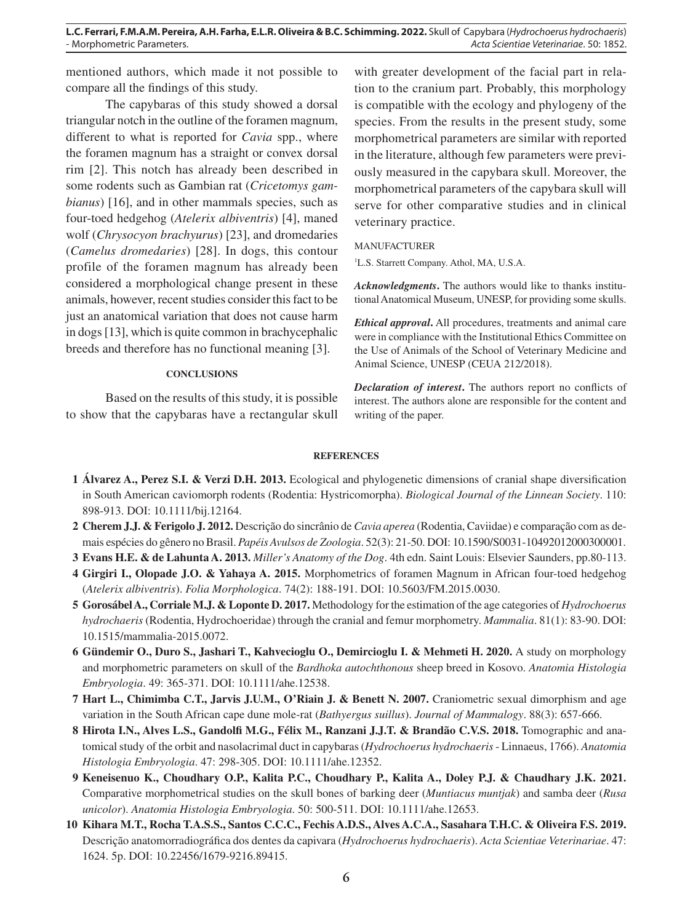mentioned authors, which made it not possible to compare all the findings of this study.

The capybaras of this study showed a dorsal triangular notch in the outline of the foramen magnum, different to what is reported for *Cavia* spp., where the foramen magnum has a straight or convex dorsal rim [2]. This notch has already been described in some rodents such as Gambian rat (*Cricetomys gambianus*) [16], and in other mammals species, such as four-toed hedgehog (*Atelerix albiventris*) [4], maned wolf (*Chrysocyon brachyurus*) [23], and dromedaries (*Camelus dromedaries*) [28]. In dogs, this contour profile of the foramen magnum has already been considered a morphological change present in these animals, however, recent studies consider this fact to be just an anatomical variation that does not cause harm in dogs [13], which is quite common in brachycephalic breeds and therefore has no functional meaning [3].

#### **CONCLUSIONS**

Based on the results of this study, it is possible to show that the capybaras have a rectangular skull

with greater development of the facial part in relation to the cranium part. Probably, this morphology is compatible with the ecology and phylogeny of the species. From the results in the present study, some morphometrical parameters are similar with reported in the literature, although few parameters were previously measured in the capybara skull. Moreover, the morphometrical parameters of the capybara skull will serve for other comparative studies and in clinical veterinary practice.

#### MANUFACTURER

1 L.S. Starrett Company. Athol, MA, U.S.A.

*Acknowledgments***.** The authors would like to thanks institutional Anatomical Museum, UNESP, for providing some skulls.

*Ethical approval***.** All procedures, treatments and animal care were in compliance with the Institutional Ethics Committee on the Use of Animals of the School of Veterinary Medicine and Animal Science, UNESP (CEUA 212/2018).

*Declaration of interest***.** The authors report no conflicts of interest. The authors alone are responsible for the content and writing of the paper.

#### **REFERENCES**

- **1 Álvarez A., Perez S.I. & Verzi D.H. 2013.** Ecological and phylogenetic dimensions of cranial shape diversification in South American caviomorph rodents (Rodentia: Hystricomorpha). *Biological Journal of the Linnean Society*. 110: 898-913. DOI: 10.1111/bij.12164.
- **2 Cherem J.J. & Ferigolo J. 2012.** Descrição do sincrânio de *Cavia aperea* (Rodentia, Caviidae) e comparação com as demais espécies do gênero no Brasil. *Papéis Avulsos de Zoologia*. 52(3): 21-50. DOI: 10.1590/S0031-10492012000300001.
- **3 Evans H.E. & de Lahunta A. 2013.** *Miller's Anatomy of the Dog*. 4th edn. Saint Louis: Elsevier Saunders, pp.80-113.
- **4 Girgiri I., Olopade J.O. & Yahaya A. 2015.** Morphometrics of foramen Magnum in African four-toed hedgehog (*Atelerix albiventris*). *Folia Morphologica*. 74(2): 188-191. DOI: 10.5603/FM.2015.0030.
- **5 Gorosábel A., Corriale M.J. & Loponte D. 2017.** Methodology for the estimation of the age categories of *Hydrochoerus hydrochaeris* (Rodentia, Hydrochoeridae) through the cranial and femur morphometry. *Mammalia*. 81(1): 83-90. DOI: 10.1515/mammalia-2015.0072.
- **6 Gündemir O., Duro S., Jashari T., Kahvecioglu O., Demircioglu I. & Mehmeti H. 2020.** A study on morphology and morphometric parameters on skull of the *Bardhoka autochthonous* sheep breed in Kosovo. *Anatomia Histologia Embryologia*. 49: 365-371. DOI: 10.1111/ahe.12538.
- **7 Hart L., Chimimba C.T., Jarvis J.U.M., O'Riain J. & Benett N. 2007.** Craniometric sexual dimorphism and age variation in the South African cape dune mole-rat (*Bathyergus suillus*). *Journal of Mammalogy*. 88(3): 657-666.
- **8 Hirota I.N., Alves L.S., Gandolfi M.G., Félix M., Ranzani J.J.T. & Brandão C.V.S. 2018.** Tomographic and anatomical study of the orbit and nasolacrimal duct in capybaras (*Hydrochoerus hydrochaeris* - Linnaeus, 1766). *Anatomia Histologia Embryologia*. 47: 298-305. DOI: 10.1111/ahe.12352.
- **9 Keneisenuo K., Choudhary O.P., Kalita P.C., Choudhary P., Kalita A., Doley P.J. & Chaudhary J.K. 2021.**  Comparative morphometrical studies on the skull bones of barking deer (*Muntiacus muntjak*) and samba deer (*Rusa unicolor*). *Anatomia Histologia Embryologia*. 50: 500-511. DOI: 10.1111/ahe.12653.
- **10 Kihara M.T., Rocha T.A.S.S., Santos C.C.C., Fechis A.D.S., Alves A.C.A., Sasahara T.H.C. & Oliveira F.S. 2019.** Descrição anatomorradiográfica dos dentes da capivara (*Hydrochoerus hydrochaeris*). *Acta Scientiae Veterinariae*. 47: 1624. 5p. DOI: 10.22456/1679-9216.89415.